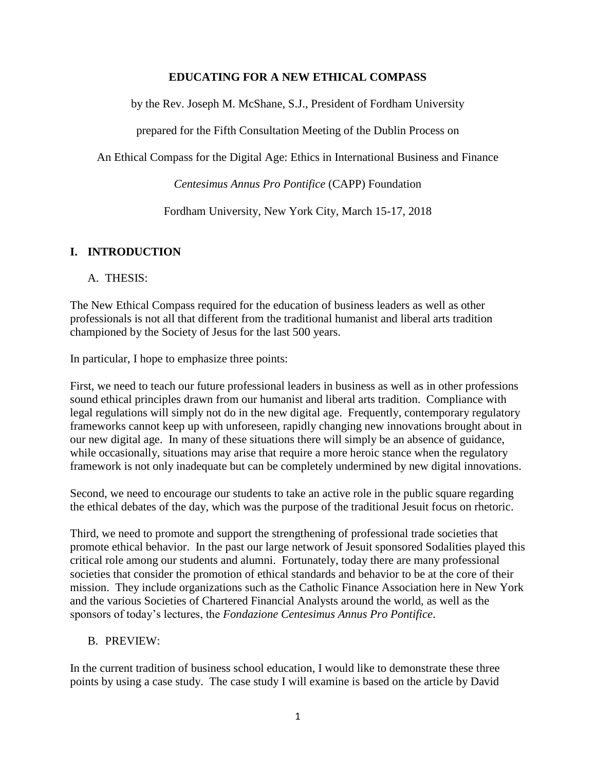## **EDUCATING FOR A NEW ETHICAL COMPASS**

by the Rev. Joseph M. McShane, S.J., President of Fordham University

prepared for the Fifth Consultation Meeting of the Dublin Process on

An Ethical Compass for the Digital Age: Ethics in International Business and Finance

*Centesimus Annus Pro Pontifice* (CAPP) Foundation

Fordham University, New York City, March 15-17, 2018

## **I. INTRODUCTION**

### A. THESIS:

The New Ethical Compass required for the education of business leaders as well as other professionals is not all that different from the traditional humanist and liberal arts tradition championed by the Society of Jesus for the last 500 years.

In particular, I hope to emphasize three points:

First, we need to teach our future professional leaders in business as well as in other professions sound ethical principles drawn from our humanist and liberal arts tradition. Compliance with legal regulations will simply not do in the new digital age. Frequently, contemporary regulatory frameworks cannot keep up with unforeseen, rapidly changing new innovations brought about in our new digital age. In many of these situations there will simply be an absence of guidance, while occasionally, situations may arise that require a more heroic stance when the regulatory framework is not only inadequate but can be completely undermined by new digital innovations.

Second, we need to encourage our students to take an active role in the public square regarding the ethical debates of the day, which was the purpose of the traditional Jesuit focus on rhetoric.

Third, we need to promote and support the strengthening of professional trade societies that promote ethical behavior. In the past our large network of Jesuit sponsored Sodalities played this critical role among our students and alumni. Fortunately, today there are many professional societies that consider the promotion of ethical standards and behavior to be at the core of their mission. They include organizations such as the Catholic Finance Association here in New York and the various Societies of Chartered Financial Analysts around the world, as well as the sponsors of today's lectures, the *Fondazione Centesimus Annus Pro Pontifice*.

### B. PREVIEW:

In the current tradition of business school education, I would like to demonstrate these three points by using a case study. The case study I will examine is based on the article by David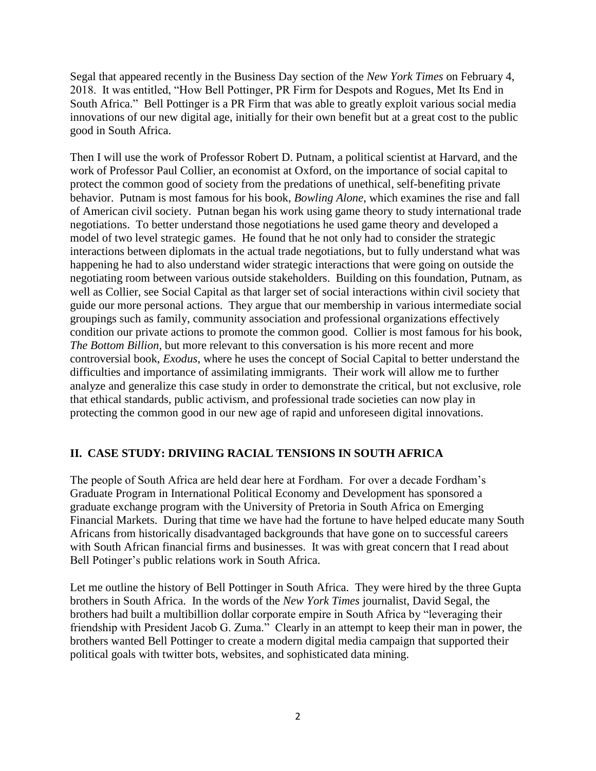Segal that appeared recently in the Business Day section of the *New York Times* on February 4, 2018. It was entitled, "How Bell Pottinger, PR Firm for Despots and Rogues, Met Its End in South Africa." Bell Pottinger is a PR Firm that was able to greatly exploit various social media innovations of our new digital age, initially for their own benefit but at a great cost to the public good in South Africa.

Then I will use the work of Professor Robert D. Putnam, a political scientist at Harvard, and the work of Professor Paul Collier, an economist at Oxford, on the importance of social capital to protect the common good of society from the predations of unethical, self-benefiting private behavior. Putnam is most famous for his book, *Bowling Alone*, which examines the rise and fall of American civil society. Putnan began his work using game theory to study international trade negotiations. To better understand those negotiations he used game theory and developed a model of two level strategic games. He found that he not only had to consider the strategic interactions between diplomats in the actual trade negotiations, but to fully understand what was happening he had to also understand wider strategic interactions that were going on outside the negotiating room between various outside stakeholders. Building on this foundation, Putnam, as well as Collier, see Social Capital as that larger set of social interactions within civil society that guide our more personal actions. They argue that our membership in various intermediate social groupings such as family, community association and professional organizations effectively condition our private actions to promote the common good. Collier is most famous for his book, *The Bottom Billion*, but more relevant to this conversation is his more recent and more controversial book, *Exodus*, where he uses the concept of Social Capital to better understand the difficulties and importance of assimilating immigrants. Their work will allow me to further analyze and generalize this case study in order to demonstrate the critical, but not exclusive, role that ethical standards, public activism, and professional trade societies can now play in protecting the common good in our new age of rapid and unforeseen digital innovations.

## **II. CASE STUDY: DRIVIING RACIAL TENSIONS IN SOUTH AFRICA**

The people of South Africa are held dear here at Fordham. For over a decade Fordham's Graduate Program in International Political Economy and Development has sponsored a graduate exchange program with the University of Pretoria in South Africa on Emerging Financial Markets. During that time we have had the fortune to have helped educate many South Africans from historically disadvantaged backgrounds that have gone on to successful careers with South African financial firms and businesses. It was with great concern that I read about Bell Potinger's public relations work in South Africa.

Let me outline the history of Bell Pottinger in South Africa. They were hired by the three Gupta brothers in South Africa. In the words of the *New York Times* journalist, David Segal, the brothers had built a multibillion dollar corporate empire in South Africa by "leveraging their friendship with President Jacob G. Zuma." Clearly in an attempt to keep their man in power, the brothers wanted Bell Pottinger to create a modern digital media campaign that supported their political goals with twitter bots, websites, and sophisticated data mining.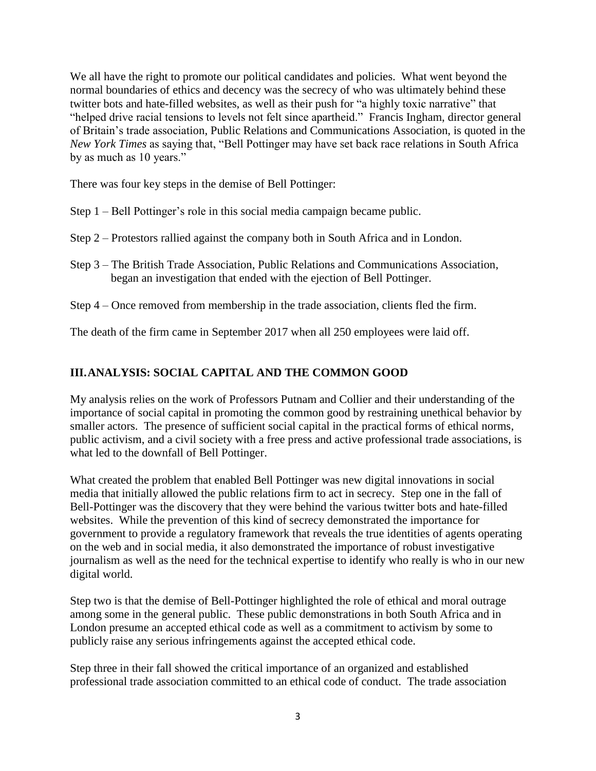We all have the right to promote our political candidates and policies. What went beyond the normal boundaries of ethics and decency was the secrecy of who was ultimately behind these twitter bots and hate-filled websites, as well as their push for "a highly toxic narrative" that "helped drive racial tensions to levels not felt since apartheid." Francis Ingham, director general of Britain's trade association, Public Relations and Communications Association, is quoted in the *New York Times* as saying that, "Bell Pottinger may have set back race relations in South Africa by as much as 10 years."

There was four key steps in the demise of Bell Pottinger:

- Step 1 Bell Pottinger's role in this social media campaign became public.
- Step 2 Protestors rallied against the company both in South Africa and in London.
- Step 3 The British Trade Association, Public Relations and Communications Association, began an investigation that ended with the ejection of Bell Pottinger.
- Step 4 Once removed from membership in the trade association, clients fled the firm.

The death of the firm came in September 2017 when all 250 employees were laid off.

# **III.ANALYSIS: SOCIAL CAPITAL AND THE COMMON GOOD**

My analysis relies on the work of Professors Putnam and Collier and their understanding of the importance of social capital in promoting the common good by restraining unethical behavior by smaller actors. The presence of sufficient social capital in the practical forms of ethical norms, public activism, and a civil society with a free press and active professional trade associations, is what led to the downfall of Bell Pottinger.

What created the problem that enabled Bell Pottinger was new digital innovations in social media that initially allowed the public relations firm to act in secrecy. Step one in the fall of Bell-Pottinger was the discovery that they were behind the various twitter bots and hate-filled websites. While the prevention of this kind of secrecy demonstrated the importance for government to provide a regulatory framework that reveals the true identities of agents operating on the web and in social media, it also demonstrated the importance of robust investigative journalism as well as the need for the technical expertise to identify who really is who in our new digital world.

Step two is that the demise of Bell-Pottinger highlighted the role of ethical and moral outrage among some in the general public. These public demonstrations in both South Africa and in London presume an accepted ethical code as well as a commitment to activism by some to publicly raise any serious infringements against the accepted ethical code.

Step three in their fall showed the critical importance of an organized and established professional trade association committed to an ethical code of conduct. The trade association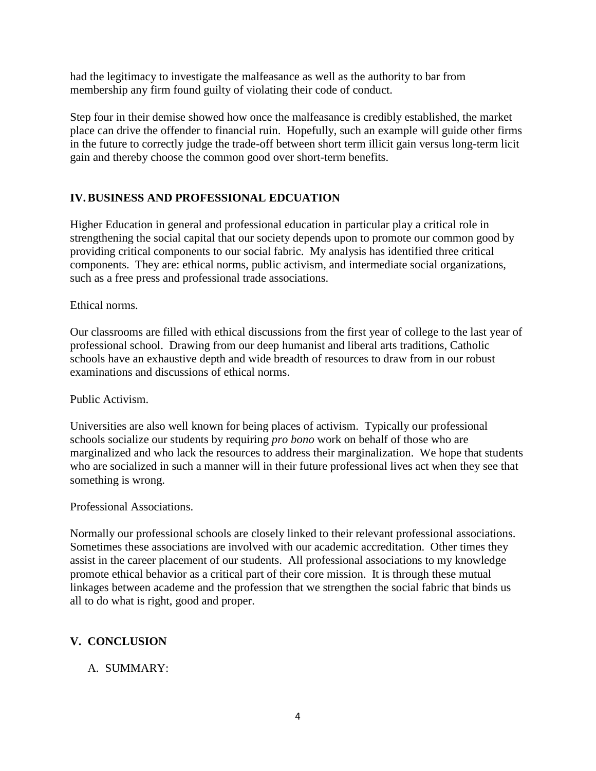had the legitimacy to investigate the malfeasance as well as the authority to bar from membership any firm found guilty of violating their code of conduct.

Step four in their demise showed how once the malfeasance is credibly established, the market place can drive the offender to financial ruin. Hopefully, such an example will guide other firms in the future to correctly judge the trade-off between short term illicit gain versus long-term licit gain and thereby choose the common good over short-term benefits.

## **IV.BUSINESS AND PROFESSIONAL EDCUATION**

Higher Education in general and professional education in particular play a critical role in strengthening the social capital that our society depends upon to promote our common good by providing critical components to our social fabric. My analysis has identified three critical components. They are: ethical norms, public activism, and intermediate social organizations, such as a free press and professional trade associations.

## Ethical norms.

Our classrooms are filled with ethical discussions from the first year of college to the last year of professional school. Drawing from our deep humanist and liberal arts traditions, Catholic schools have an exhaustive depth and wide breadth of resources to draw from in our robust examinations and discussions of ethical norms.

### Public Activism.

Universities are also well known for being places of activism. Typically our professional schools socialize our students by requiring *pro bono* work on behalf of those who are marginalized and who lack the resources to address their marginalization. We hope that students who are socialized in such a manner will in their future professional lives act when they see that something is wrong.

### Professional Associations.

Normally our professional schools are closely linked to their relevant professional associations. Sometimes these associations are involved with our academic accreditation. Other times they assist in the career placement of our students. All professional associations to my knowledge promote ethical behavior as a critical part of their core mission. It is through these mutual linkages between academe and the profession that we strengthen the social fabric that binds us all to do what is right, good and proper.

## **V. CONCLUSION**

## A. SUMMARY: